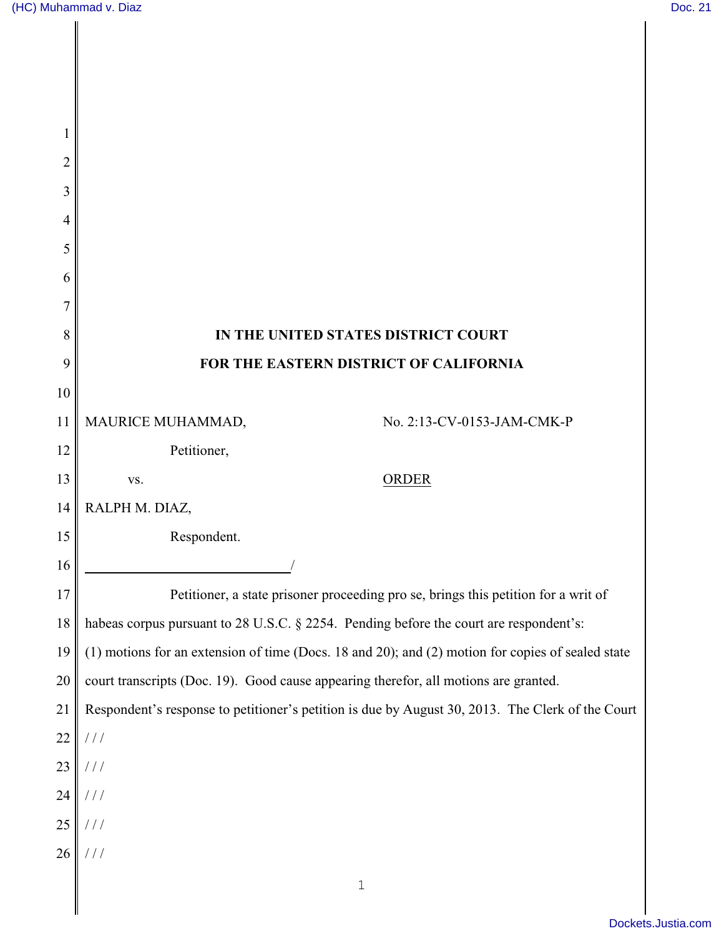| 1      |                                                                                                     |
|--------|-----------------------------------------------------------------------------------------------------|
| 2      |                                                                                                     |
| 3      |                                                                                                     |
| 4      |                                                                                                     |
| 5      |                                                                                                     |
| 6      |                                                                                                     |
| 7      |                                                                                                     |
| 8      | IN THE UNITED STATES DISTRICT COURT                                                                 |
| 9      | FOR THE EASTERN DISTRICT OF CALIFORNIA                                                              |
| 10     |                                                                                                     |
| 11     | MAURICE MUHAMMAD,<br>No. 2:13-CV-0153-JAM-CMK-P                                                     |
| 12     | Petitioner,                                                                                         |
| 13     | <b>ORDER</b><br>VS.                                                                                 |
| 14     | RALPH M. DIAZ,                                                                                      |
| 15     | Respondent.                                                                                         |
| 16     |                                                                                                     |
| 17     | Petitioner, a state prisoner proceeding pro se, brings this petition for a writ of                  |
| 18     | habeas corpus pursuant to 28 U.S.C. § 2254. Pending before the court are respondent's:              |
| 19     | $(1)$ motions for an extension of time (Docs. 18 and 20); and (2) motion for copies of sealed state |
| $20\,$ | court transcripts (Doc. 19). Good cause appearing therefor, all motions are granted.                |
| 21     | Respondent's response to petitioner's petition is due by August 30, 2013. The Clerk of the Court    |
| 22     | //                                                                                                  |
| 23     | $\frac{1}{2}$                                                                                       |
| 24     | $\frac{1}{2}$                                                                                       |
| $25\,$ | //                                                                                                  |
| 26     | $\frac{1}{2}$                                                                                       |
|        | $\mathbf 1$                                                                                         |
|        |                                                                                                     |